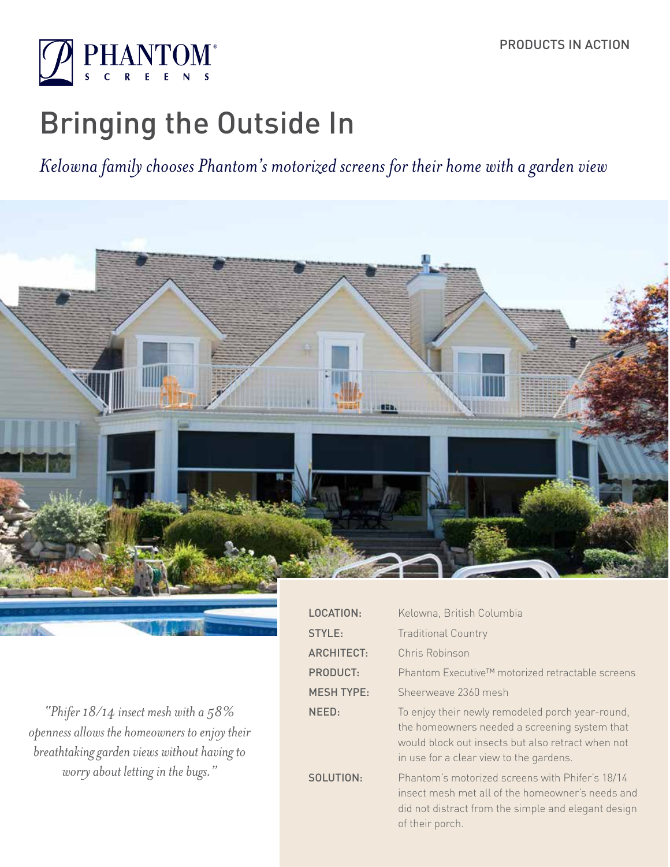

# Bringing the Outside In

*Kelowna family chooses Phantom's motorized screens for their home with a garden view*



S

*"Phifer 18/14 insect mesh with a 58% openness allows the homeowners to enjoy their breathtaking garden views without having to worry about letting in the bugs."*

| Kelowna, British Columbia                                                                                                                                                                         |
|---------------------------------------------------------------------------------------------------------------------------------------------------------------------------------------------------|
| <b>Traditional Country</b>                                                                                                                                                                        |
| Chris Robinson                                                                                                                                                                                    |
| Phantom Executive™ motorized retractable screens                                                                                                                                                  |
| Sheerweave 2360 mesh                                                                                                                                                                              |
| To enjoy their newly remodeled porch year-round,<br>the homeowners needed a screening system that<br>would block out insects but also retract when not<br>in use for a clear view to the gardens. |
| Phantom's motorized screens with Phifer's 18/14<br>insect mesh met all of the homeowner's needs and<br>did not distract from the simple and elegant design<br>of their porch.                     |
|                                                                                                                                                                                                   |